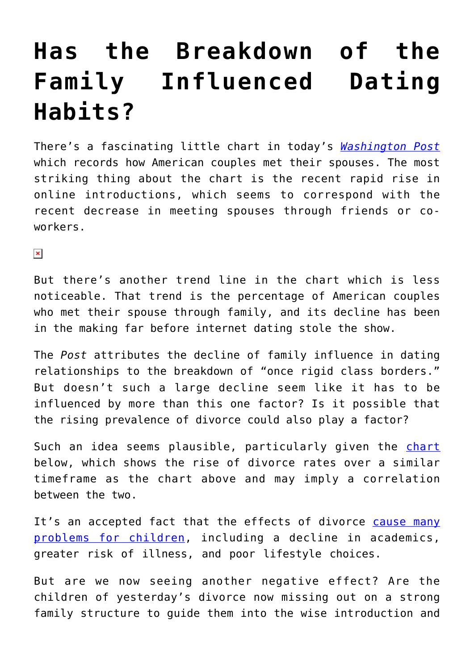## **[Has the Breakdown of the](https://intellectualtakeout.org/2016/03/has-the-breakdown-of-the-family-influenced-dating-habits/) [Family Influenced Dating](https://intellectualtakeout.org/2016/03/has-the-breakdown-of-the-family-influenced-dating-habits/) [Habits?](https://intellectualtakeout.org/2016/03/has-the-breakdown-of-the-family-influenced-dating-habits/)**

There's a fascinating little chart in today's *[Washington Post](https://www.washingtonpost.com/news/wonk/wp/2016/03/08/how-much-life-has-changed-in-one-incredible-chart-about-dating/)* which records how American couples met their spouses. The most striking thing about the chart is the recent rapid rise in online introductions, which seems to correspond with the recent decrease in meeting spouses through friends or coworkers.

 $\pmb{\times}$ 

But there's another trend line in the chart which is less noticeable. That trend is the percentage of American couples who met their spouse through family, and its decline has been in the making far before internet dating stole the show.

The *Post* attributes the decline of family influence in dating relationships to the breakdown of "once rigid class borders." But doesn't such a large decline seem like it has to be influenced by more than this one factor? Is it possible that the rising prevalence of divorce could also play a factor?

Such an idea seems plausible, particularly given the [chart](http://www.familyfacts.org/charts/120/the-divorce-rate-is-declining-but-still-high) below, which shows the rise of divorce rates over a similar timeframe as the chart above and may imply a correlation between the two.

It's an accepted fact that the effects of divorce [cause many](https://www.intellectualtakeout.org/blog/what-we%E2%80%99ve-become) [problems for children,](https://www.intellectualtakeout.org/blog/what-we%E2%80%99ve-become) including a decline in academics, greater risk of illness, and poor lifestyle choices.

But are we now seeing another negative effect? Are the children of yesterday's divorce now missing out on a strong family structure to guide them into the wise introduction and